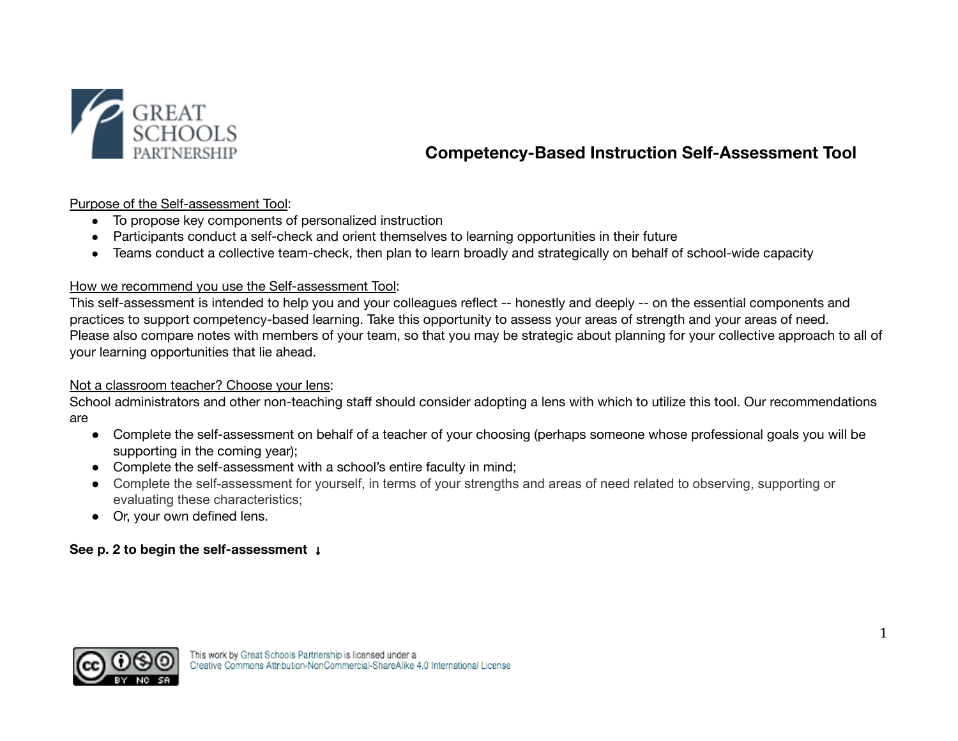

# **Competency-Based Instruction Self-Assessment Tool**

Purpose of the Self-assessment Tool:

- To propose key components of personalized instruction
- Participants conduct a self-check and orient themselves to learning opportunities in their future
- Teams conduct a collective team-check, then plan to learn broadly and strategically on behalf of school-wide capacity

## How we recommend you use the Self-assessment Tool:

This self-assessment is intended to help you and your colleagues reflect -- honestly and deeply -- on the essential components and practices to support competency-based learning. Take this opportunity to assess your areas of strength and your areas of need. Please also compare notes with members of your team, so that you may be strategic about planning for your collective approach to all of your learning opportunities that lie ahead.

## Not a classroom teacher? Choose your lens:

School administrators and other non-teaching staff should consider adopting a lens with which to utilize this tool. Our recommendations are

- Complete the self-assessment on behalf of a teacher of your choosing (perhaps someone whose professional goals you will be supporting in the coming year);
- Complete the self-assessment with a school's entire faculty in mind;
- Complete the self-assessment for yourself, in terms of your strengths and areas of need related to observing, supporting or evaluating these characteristics;
- Or, your own defined lens.

## **See p. 2 to begin the self-assessment** ↓

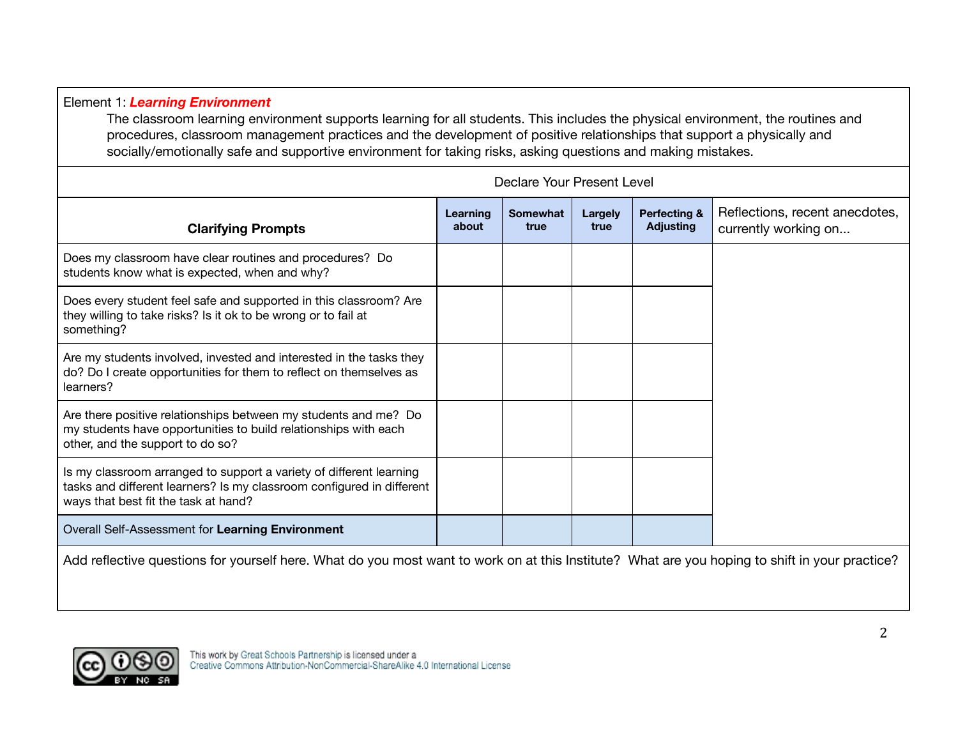Element 1: *Learning Environment* The classroom learning environment supports learning for all students. This includes the physical environment, the routines and procedures, classroom management practices and the development of positive relationships that support a physically and socially/emotionally safe and supportive environment for taking risks, asking questions and making mistakes. Declare Your Present Level **Clarifying Prompts Learning Somewhat Largely about true true Perfecting &** Reflections, recent anecdotes, **Adjusting**

| <b>Clarifying Prompts</b>                                                                                                                                                            | about | true | true | <b>Adjusting</b> | currently working on |
|--------------------------------------------------------------------------------------------------------------------------------------------------------------------------------------|-------|------|------|------------------|----------------------|
| Does my classroom have clear routines and procedures? Do<br>students know what is expected, when and why?                                                                            |       |      |      |                  |                      |
| Does every student feel safe and supported in this classroom? Are<br>they willing to take risks? Is it ok to be wrong or to fail at<br>something?                                    |       |      |      |                  |                      |
| Are my students involved, invested and interested in the tasks they<br>do? Do I create opportunities for them to reflect on themselves as<br>learners?                               |       |      |      |                  |                      |
| Are there positive relationships between my students and me? Do<br>my students have opportunities to build relationships with each<br>other, and the support to do so?               |       |      |      |                  |                      |
| Is my classroom arranged to support a variety of different learning<br>tasks and different learners? Is my classroom configured in different<br>ways that best fit the task at hand? |       |      |      |                  |                      |
| Overall Self-Assessment for Learning Environment                                                                                                                                     |       |      |      |                  |                      |
| Add reflective questions for yourself here. What do you most want to work on at this Institute? What are you hoping to shift in your practice?                                       |       |      |      |                  |                      |

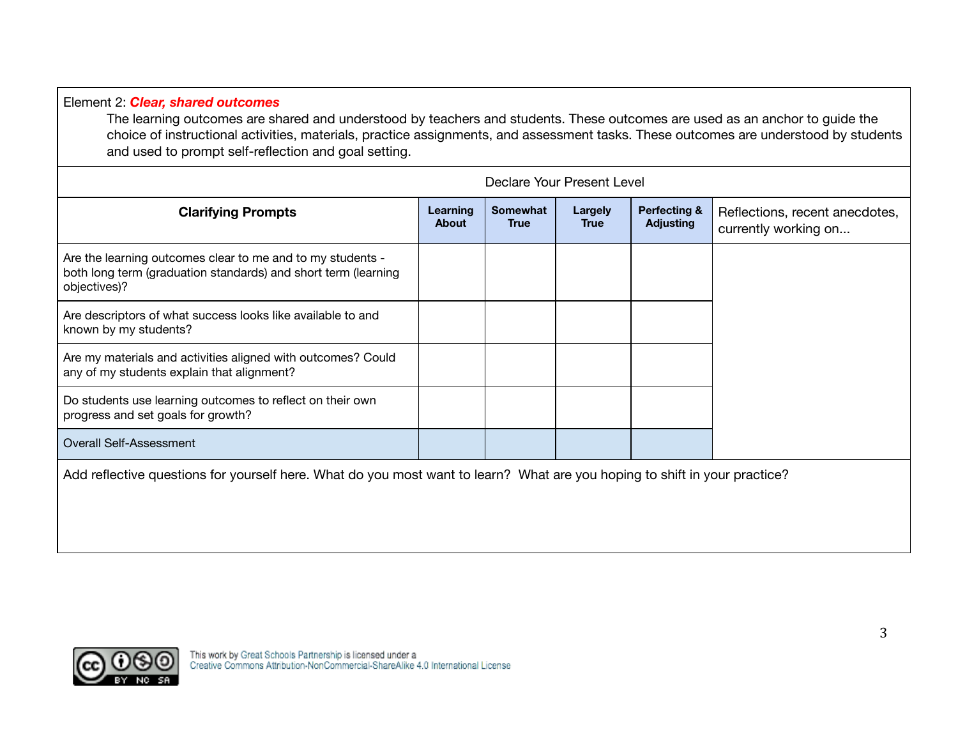## Element 2: *Clear, shared outcomes*

The learning outcomes are shared and understood by teachers and students. These outcomes are used as an anchor to guide the choice of instructional activities, materials, practice assignments, and assessment tasks. These outcomes are understood by students and used to prompt self-reflection and goal setting.

|                                                                                                                                              | Declare Your Present Level |                                |                        |                                             |                                                        |  |
|----------------------------------------------------------------------------------------------------------------------------------------------|----------------------------|--------------------------------|------------------------|---------------------------------------------|--------------------------------------------------------|--|
| <b>Clarifying Prompts</b>                                                                                                                    | Learning<br><b>About</b>   | <b>Somewhat</b><br><b>True</b> | Largely<br><b>True</b> | <b>Perfecting &amp;</b><br><b>Adjusting</b> | Reflections, recent anecdotes,<br>currently working on |  |
| Are the learning outcomes clear to me and to my students -<br>both long term (graduation standards) and short term (learning<br>objectives)? |                            |                                |                        |                                             |                                                        |  |
| Are descriptors of what success looks like available to and<br>known by my students?                                                         |                            |                                |                        |                                             |                                                        |  |
| Are my materials and activities aligned with outcomes? Could<br>any of my students explain that alignment?                                   |                            |                                |                        |                                             |                                                        |  |
| Do students use learning outcomes to reflect on their own<br>progress and set goals for growth?                                              |                            |                                |                        |                                             |                                                        |  |
| Overall Self-Assessment                                                                                                                      |                            |                                |                        |                                             |                                                        |  |
|                                                                                                                                              |                            |                                |                        |                                             |                                                        |  |

Add reflective questions for yourself here. What do you most want to learn? What are you hoping to shift in your practice?

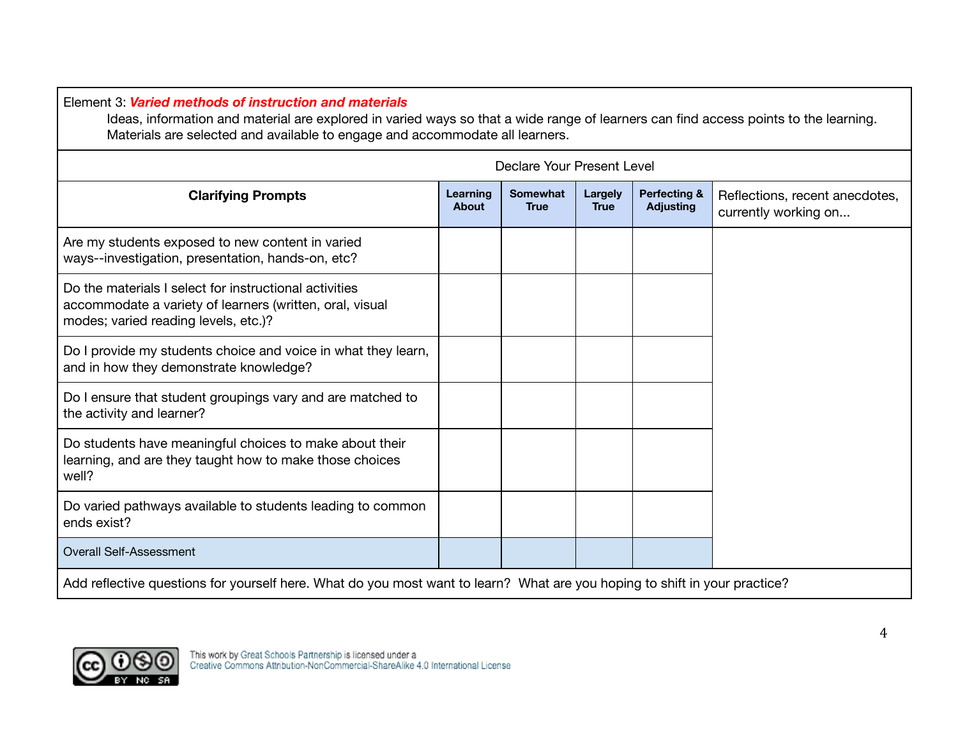Element 3: *Varied methods of instruction and materials*

Ideas, information and material are explored in varied ways so that a wide range of learners can find access points to the learning. Materials are selected and available to engage and accommodate all learners.

| Declare Your Present Level                                                                                                                                 |                          |                                |                        |                                             |                                                        |
|------------------------------------------------------------------------------------------------------------------------------------------------------------|--------------------------|--------------------------------|------------------------|---------------------------------------------|--------------------------------------------------------|
| <b>Clarifying Prompts</b>                                                                                                                                  | Learning<br><b>About</b> | <b>Somewhat</b><br><b>True</b> | Largely<br><b>True</b> | <b>Perfecting &amp;</b><br><b>Adjusting</b> | Reflections, recent anecdotes,<br>currently working on |
| Are my students exposed to new content in varied<br>ways--investigation, presentation, hands-on, etc?                                                      |                          |                                |                        |                                             |                                                        |
| Do the materials I select for instructional activities<br>accommodate a variety of learners (written, oral, visual<br>modes; varied reading levels, etc.)? |                          |                                |                        |                                             |                                                        |
| Do I provide my students choice and voice in what they learn,<br>and in how they demonstrate knowledge?                                                    |                          |                                |                        |                                             |                                                        |
| Do I ensure that student groupings vary and are matched to<br>the activity and learner?                                                                    |                          |                                |                        |                                             |                                                        |
| Do students have meaningful choices to make about their<br>learning, and are they taught how to make those choices<br>well?                                |                          |                                |                        |                                             |                                                        |
| Do varied pathways available to students leading to common<br>ends exist?                                                                                  |                          |                                |                        |                                             |                                                        |
| <b>Overall Self-Assessment</b>                                                                                                                             |                          |                                |                        |                                             |                                                        |
| Add reflective questions for yourself here. What do you most want to learn? What are you hoping to shift in your practice?                                 |                          |                                |                        |                                             |                                                        |

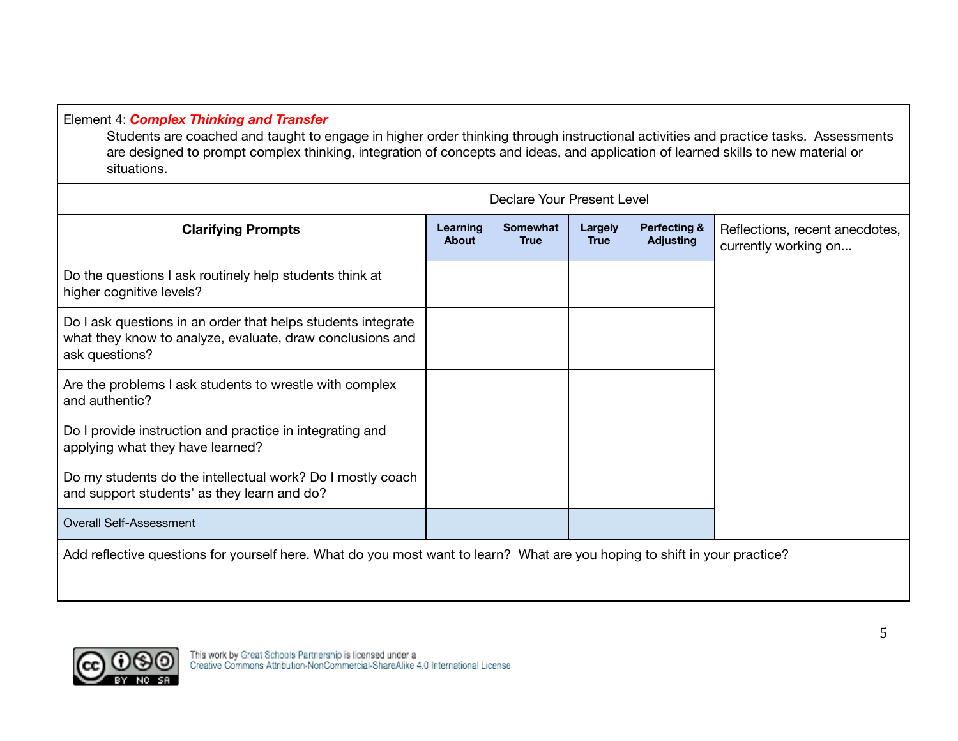# Element 4: *Complex Thinking and Transfer*

Students are coached and taught to engage in higher order thinking through instructional activities and practice tasks. Assessments are designed to prompt complex thinking, integration of concepts and ideas, and application of learned skills to new material or situations.

| Declare Your Present Level                                                                                                                  |                          |                                |                 |                                  |                                                        |
|---------------------------------------------------------------------------------------------------------------------------------------------|--------------------------|--------------------------------|-----------------|----------------------------------|--------------------------------------------------------|
| <b>Clarifying Prompts</b>                                                                                                                   | Learning<br><b>About</b> | <b>Somewhat</b><br><b>True</b> | Largely<br>True | Perfecting &<br><b>Adjusting</b> | Reflections, recent anecdotes,<br>currently working on |
| Do the questions I ask routinely help students think at<br>higher cognitive levels?                                                         |                          |                                |                 |                                  |                                                        |
| Do I ask questions in an order that helps students integrate<br>what they know to analyze, evaluate, draw conclusions and<br>ask questions? |                          |                                |                 |                                  |                                                        |
| Are the problems I ask students to wrestle with complex<br>and authentic?                                                                   |                          |                                |                 |                                  |                                                        |
| Do I provide instruction and practice in integrating and<br>applying what they have learned?                                                |                          |                                |                 |                                  |                                                        |
| Do my students do the intellectual work? Do I mostly coach<br>and support students' as they learn and do?                                   |                          |                                |                 |                                  |                                                        |
| <b>Overall Self-Assessment</b>                                                                                                              |                          |                                |                 |                                  |                                                        |
| Add reflective questions for yourself here. What do you most want to learn? What are you hoping to shift in your practice?                  |                          |                                |                 |                                  |                                                        |